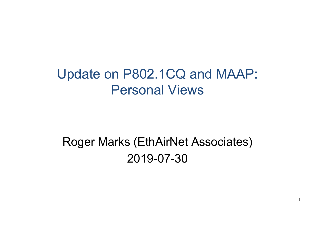# Update on P802.1CQ and MAAP: Personal Views

# Roger Marks (EthAirNet Associates) 2019-07-30

1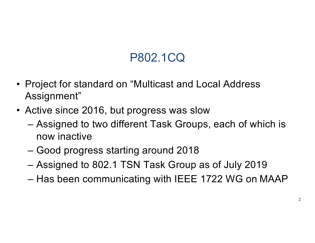## P802.1CQ

- Project for standard on "Multicast and Local Address Assignment"
- Active since 2016, but progress was slow
	- Assigned to two different Task Groups, each of which is now inactive
	- Good progress starting around 2018
	- Assigned to 802.1 TSN Task Group as of July 2019
	- Has been communicating with IEEE 1722 WG on MAAP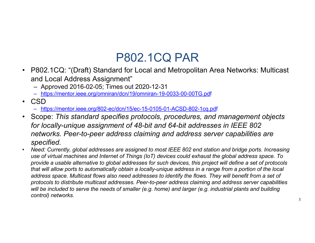#### P802.1CQ PAR

- P802.1CQ: "(Draft) Standard for Local and Metropolitan Area Networks: Multicast and Local Address Assignment"
	- Approved 2016-02-05; Times out 2020-12-31
	- [https://mentor.ieee.org/omniran/dcn/19/omniran-19-0033-00-00TG.p](https://mentor.ieee.org/omniran/dcn/19/omniran-19-0033-00-00TG.pdf)df
- CSD
	- [https://mentor.ieee.org/802-ec/dcn/15/ec-15-0105-01-ACSD-802-1cq.p](https://mentor.ieee.org/802-ec/dcn/15/ec-15-0105-01-ACSD-802-1cq.pdf)df
- Scope: *This standard specifies protocols, procedures, and management objects for locally-unique assignment of 48-bit and 64-bit addresses in IEEE 802 networks. Peer-to-peer address claiming and address server capabilities are specified.*
- *Need: Currently, global addresses are assigned to most IEEE 802 end station and bridge ports. Increasing use of virtual machines and Internet of Things (IoT) devices could exhaust the global address space. To provide a usable alternative to global addresses for such devices, this project will define a set of protocols that will allow ports to automatically obtain a locally-unique address in a range from a portion of the local address space. Multicast flows also need addresses to identify the flows. They will benefit from a set of protocols to distribute multicast addresses. Peer-to-peer address claiming and address server capabilities will be included to serve the needs of smaller (e.g. home) and larger (e.g. industrial plants and building control) networks.*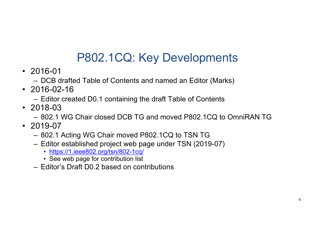## P802.1CQ: Key Developments

- 2016-01
	- DCB drafted Table of Contents and named an Editor (Marks)
- 2016-02-16
	- Editor created D0.1 containing the draft Table of Contents
- 2018-03
	- 802.1 WG Chair closed DCB TG and moved P802.1CQ to OmniRAN TG
- 2019-07
	- 802.1 Acting WG Chair moved P802.1CQ to TSN TG
	- Editor established project web page under TSN (2019-07)
		- [https://1.ieee802.org/tsn/802-1c](https://1.ieee802.org/tsn/802-1cq/)q/
		- See web page for contribution list
	- Editor's Draft D0.2 based on contributions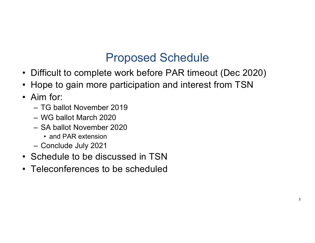#### Proposed Schedule

- Difficult to complete work before PAR timeout (Dec 2020)
- Hope to gain more participation and interest from TSN
- Aim for:
	- TG ballot November 2019
	- WG ballot March 2020
	- SA ballot November 2020
		- and PAR extension
	- Conclude July 2021
- Schedule to be discussed in TSN
- Teleconferences to be scheduled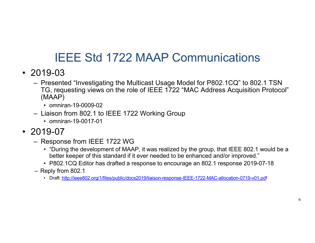#### IEEE Std 1722 MAAP Communications

- 2019-03
	- Presented "Investigating the Multicast Usage Model for P802.1CQ" to 802.1 TSN TG, requesting views on the role of IEEE 1722 "MAC Address Acquisition Protocol" (MAAP)
		- omniran-19-0009-02
	- Liaison from 802.1 to IEEE 1722 Working Group
		- omniran-19-0017-01
- 2019-07
	- Response from IEEE 1722 WG
		- "During the development of MAAP, it was realized by the group, that IEEE 802.1 would be a better keeper of this standard if it ever needed to be enhanced and/or improved."
		- P802.1CQ Editor has drafted a response to encourage an 802.1 response 2019-07-18
	- Reply from 802.1
		- Dr[aft: http://ieee802.org/1/files/public/docs2019/liaison-response-IEEE-1722-MAC-allocation-0719-v01.p](http://ieee802.org/1/files/public/docs2019/liaison-response-IEEE-1722-MAC-allocation-0719-v01.pdf)df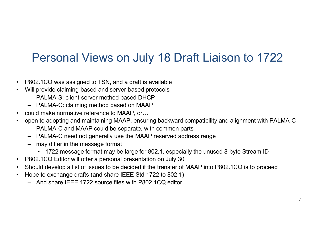### Personal Views on July 18 Draft Liaison to 1722

- P802.1CQ was assigned to TSN, and a draft is available
- Will provide claiming-based and server-based protocols
	- PALMA-S: client-server method based DHCP
	- PALMA-C: claiming method based on MAAP
- could make normative reference to MAAP, or…
- open to adopting and maintaining MAAP, ensuring backward compatibility and alignment with PALMA-C
	- PALMA-C and MAAP could be separate, with common parts
	- PALMA-C need not generally use the MAAP reserved address range
	- may differ in the message format
		- 1722 message format may be large for 802.1, especially the unused 8-byte Stream ID
- P802.1CQ Editor will offer a personal presentation on July 30
- Should develop a list of issues to be decided if the transfer of MAAP into P802.1CQ is to proceed
- Hope to exchange drafts (and share IEEE Std 1722 to 802.1)
	- And share IEEE 1722 source files with P802.1CQ editor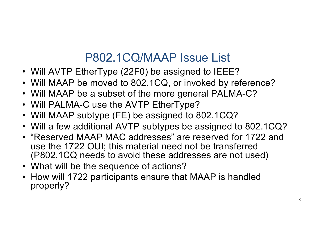#### P802.1CQ/MAAP Issue List

- Will AVTP EtherType (22F0) be assigned to IEEE?
- Will MAAP be moved to 802.1CQ, or invoked by reference?
- Will MAAP be a subset of the more general PALMA-C?
- Will PALMA-C use the AVTP EtherType?
- Will MAAP subtype (FE) be assigned to 802.1CQ?
- Will a few additional AVTP subtypes be assigned to 802.1CQ?
- "Reserved MAAP MAC addresses" are reserved for 1722 and use the 1722 OUI; this material need not be transferred (P802.1CQ needs to avoid these addresses are not used)
- What will be the sequence of actions?
- How will 1722 participants ensure that MAAP is handled properly?